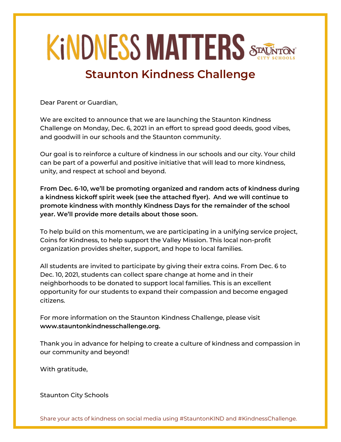# **KINDNESS MATTERS STACK**

# **Staunton Kindness Challenge**

Dear Parent or Guardian,

We are excited to announce that we are launching the Staunton Kindness Challenge on Monday, Dec. 6, 2021 in an effort to spread good deeds, good vibes, and goodwill in our schools and the Staunton community.

Our goal is to reinforce a culture of kindness in our schools and our city. Your child can be part of a powerful and positive initiative that will lead to more kindness, unity, and respect at school and beyond.

**From Dec. 6-10, we'll be promoting organized and random acts of kindness during a kindness kickoff spirit week (see the attached flyer). And we will continue to promote kindness with monthly Kindness Days for the remainder of the school year. We'll provide more details about those soon.** 

To help build on this momentum, we are participating in a unifying service project, Coins for Kindness, to help support the Valley Mission. This local non-profit organization provides shelter, support, and hope to local families.

All students are invited to participate by giving their extra coins. From Dec. 6 to Dec. 10, 2021, students can collect spare change at home and in their neighborhoods to be donated to support local families. This is an excellent opportunity for our students to expand their compassion and become engaged citizens.

For more information on the Staunton Kindness Challenge, please visit **www.stauntonkindnesschallenge.org.**

Thank you in advance for helping to create a culture of kindness and compassion in our community and beyond!

With gratitude,

Staunton City Schools

Share your acts of kindness on social media using #StauntonKIND and #KindnessChallenge.